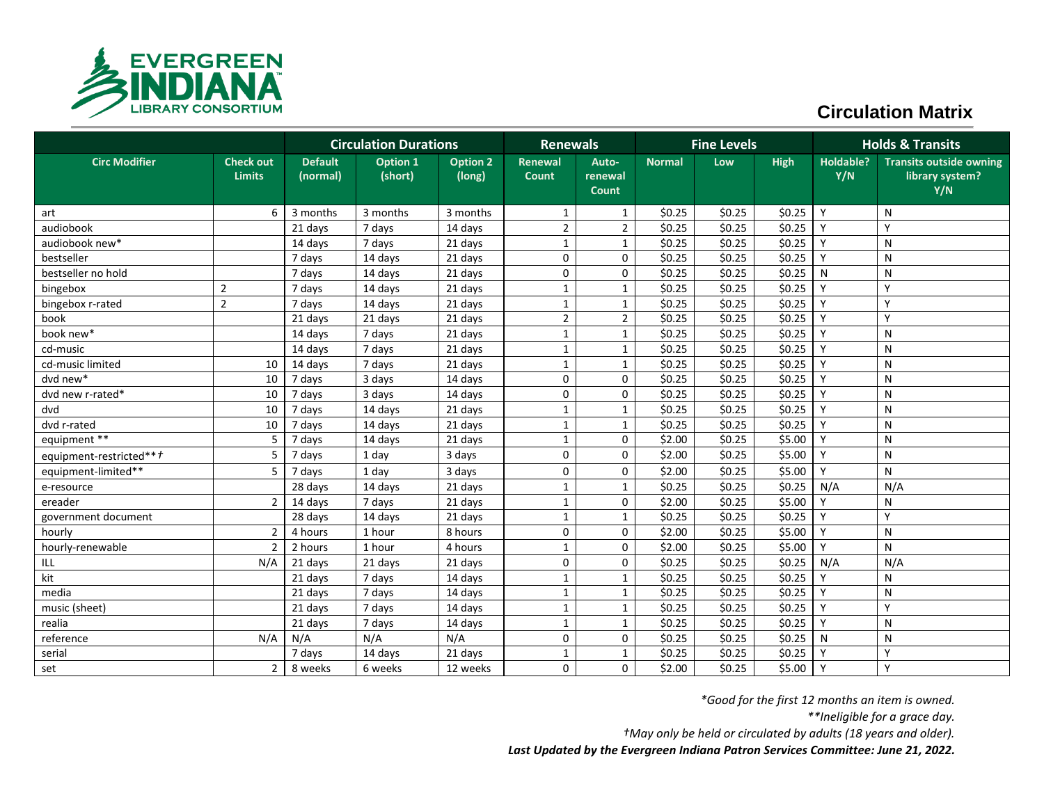

## **Circulation Matrix**

|                                 | <b>Circulation Durations</b>      |                            |                            | <b>Renewals</b>           |                  | <b>Fine Levels</b>        |               |        | <b>Holds &amp; Transits</b> |                  |                                                          |
|---------------------------------|-----------------------------------|----------------------------|----------------------------|---------------------------|------------------|---------------------------|---------------|--------|-----------------------------|------------------|----------------------------------------------------------|
| <b>Circ Modifier</b>            | <b>Check out</b><br><b>Limits</b> | <b>Default</b><br>(normal) | <b>Option 1</b><br>(short) | <b>Option 2</b><br>(long) | Renewal<br>Count | Auto-<br>renewal<br>Count | <b>Normal</b> | Low    | <b>High</b>                 | Holdable?<br>Y/N | <b>Transits outside owning</b><br>library system?<br>Y/N |
| art                             | 6                                 | 3 months                   | 3 months                   | 3 months                  | $\mathbf{1}$     | $\mathbf{1}$              | \$0.25        | \$0.25 | \$0.25                      | Y                | N                                                        |
| audiobook                       |                                   | 21 days                    | 7 days                     | 14 days                   | $\overline{2}$   | $\overline{2}$            | \$0.25        | \$0.25 | \$0.25                      | Y                | Υ                                                        |
| audiobook new*                  |                                   | 14 days                    | 7 days                     | 21 days                   | 1                | $\mathbf{1}$              | \$0.25        | \$0.25 | \$0.25                      | Y                | N                                                        |
| bestseller                      |                                   | 7 days                     | 14 days                    | 21 days                   | 0                | $\mathbf 0$               | \$0.25        | \$0.25 | \$0.25                      | Y                | N                                                        |
| bestseller no hold              |                                   | 7 days                     | 14 days                    | 21 days                   | $\mathbf 0$      | 0                         | \$0.25        | \$0.25 | \$0.25                      | N                | N                                                        |
| bingebox                        | $\overline{2}$                    | 7 days                     | 14 days                    | 21 days                   | $\mathbf{1}$     | $\mathbf{1}$              | \$0.25        | \$0.25 | \$0.25                      | Y                | Y                                                        |
| bingebox r-rated                | $\overline{2}$                    | 7 days                     | 14 days                    | 21 days                   | $\mathbf{1}$     | $\mathbf{1}$              | \$0.25        | \$0.25 | \$0.25                      | Y                | V                                                        |
| book                            |                                   | 21 days                    | 21 days                    | 21 days                   | $\overline{2}$   | $\overline{2}$            | \$0.25        | \$0.25 | \$0.25                      | Y                | Υ                                                        |
| book new*                       |                                   | 14 days                    | 7 days                     | 21 days                   | $\mathbf{1}$     | $\mathbf{1}$              | \$0.25        | \$0.25 | \$0.25                      | Y                | N                                                        |
| cd-music                        |                                   | 14 days                    | 7 days                     | 21 days                   | $\mathbf{1}$     | $\mathbf{1}$              | \$0.25        | \$0.25 | \$0.25                      | Y                | N                                                        |
| cd-music limited                | 10                                | 14 days                    | 7 days                     | 21 days                   | $\mathbf{1}$     | $\mathbf{1}$              | \$0.25        | \$0.25 | \$0.25                      | Y                | N                                                        |
| dvd new*                        | 10                                | 7 days                     | 3 days                     | 14 days                   | $\mathbf 0$      | $\Omega$                  | \$0.25        | \$0.25 | \$0.25                      | Y                | N                                                        |
| dvd new r-rated*                | 10                                | 7 days                     | 3 days                     | 14 days                   | 0                | 0                         | \$0.25        | \$0.25 | \$0.25                      | Y                | N                                                        |
| dvd                             | 10                                | 7 days                     | 14 days                    | 21 days                   | $\mathbf{1}$     | $\mathbf{1}$              | \$0.25        | \$0.25 | \$0.25                      | Y                | N                                                        |
| dvd r-rated                     | 10                                | 7 days                     | 14 days                    | 21 days                   | $\mathbf{1}$     | $\mathbf{1}$              | \$0.25        | \$0.25 | \$0.25                      | Y                | N                                                        |
| equipment **                    | 5                                 | 7 days                     | 14 days                    | 21 days                   | $\mathbf{1}$     | 0                         | \$2.00        | \$0.25 | \$5.00                      | Y                | N                                                        |
| equipment-restricted** <i>†</i> | 5                                 | 7 days                     | 1 day                      | 3 days                    | 0                | $\Omega$                  | \$2.00        | \$0.25 | \$5.00                      | Y                | N                                                        |
| equipment-limited**             | 5                                 | 7 days                     | 1 day                      | 3 days                    | 0                | 0                         | \$2.00        | \$0.25 | \$5.00                      | Y                | N                                                        |
| e-resource                      |                                   | 28 days                    | 14 days                    | 21 days                   | $\mathbf{1}$     | $\mathbf{1}$              | \$0.25        | \$0.25 | \$0.25                      | N/A              | N/A                                                      |
| ereader                         | $\overline{2}$                    | 14 days                    | 7 days                     | 21 days                   | $\mathbf{1}$     | $\mathbf 0$               | \$2.00        | \$0.25 | \$5.00                      | Y                | N                                                        |
| government document             |                                   | 28 days                    | 14 days                    | 21 days                   | $\mathbf{1}$     | $\mathbf{1}$              | \$0.25        | \$0.25 | \$0.25                      | Y                | Y                                                        |
| hourly                          | $\overline{2}$                    | 4 hours                    | 1 hour                     | 8 hours                   | 0                | 0                         | \$2.00        | \$0.25 | \$5.00                      | Y                | N                                                        |
| hourly-renewable                | $\overline{2}$                    | 2 hours                    | 1 hour                     | 4 hours                   | 1                | $\mathbf 0$               | \$2.00        | \$0.25 | \$5.00                      | Y                | N                                                        |
| ILL                             | N/A                               | 21 days                    | 21 days                    | 21 days                   | 0                | 0                         | \$0.25        | \$0.25 | \$0.25                      | N/A              | N/A                                                      |
| kit                             |                                   | 21 days                    | 7 days                     | 14 days                   | $\mathbf{1}$     | $\mathbf{1}$              | \$0.25        | \$0.25 | \$0.25                      | v                | N                                                        |
| media                           |                                   | 21 days                    | 7 days                     | 14 days                   | $\mathbf{1}$     | $\mathbf{1}$              | \$0.25        | \$0.25 | \$0.25                      | Y                | N                                                        |
| music (sheet)                   |                                   | 21 days                    | 7 days                     | 14 days                   | $\mathbf{1}$     | $\mathbf{1}$              | \$0.25        | \$0.25 | \$0.25                      | $\mathsf{Y}$     | Y                                                        |
| realia                          |                                   | 21 days                    | 7 days                     | 14 days                   | $\mathbf{1}$     | $\mathbf{1}$              | \$0.25        | \$0.25 | \$0.25                      | Y                | N                                                        |
| reference                       | N/A                               | N/A                        | N/A                        | N/A                       | 0                | 0                         | \$0.25        | \$0.25 | \$0.25                      | N                | N                                                        |
| serial                          |                                   | 7 days                     | 14 days                    | 21 days                   | $\mathbf{1}$     | $\mathbf{1}$              | \$0.25        | \$0.25 | \$0.25                      | Y                | Y                                                        |
| set                             | $\overline{2}$                    | 8 weeks                    | 6 weeks                    | 12 weeks                  | 0                | $\mathbf 0$               | \$2.00        | \$0.25 | $$5.00$   Y                 |                  | Y                                                        |

*\*Good for the first 12 months an item is owned.*

*\*\*Ineligible for a grace day.*

*†May only be held or circulated by adults (18 years and older).*

*Last Updated by the Evergreen Indiana Patron Services Committee: June 21, 2022.*